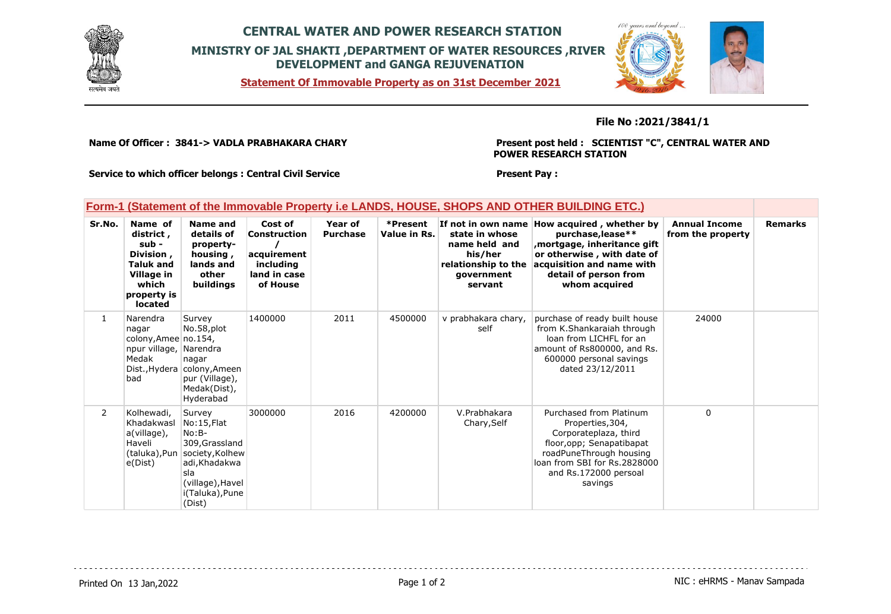

# **CENTRAL WATER AND POWER RESEARCH STATION MINISTRY OF JAL SHAKTI ,DEPARTMENT OF WATER RESOURCES ,RIVER DEVELOPMENT and GANGA REJUVENATION**

**Statement Of Immovable Property as on 31st December 2021**



### **File No :2021/3841/1**

**Name Of Officer : 3841-> VADLA PRABHAKARA CHARY** 

**Present post held : SCIENTIST "C", CENTRAL WATER AND POWER RESEARCH STATION**

**Service to which officer belongs : Central Civil Service**

#### **Present Pay :**

### **Form-1 (Statement of the Immovable Property i.e LANDS, HOUSE, SHOPS AND OTHER BUILDING ETC.)**

| Sr.No.         | Name of<br>district,<br>sub -<br>Division,<br><b>Taluk and</b><br>Village in<br>which<br>property is<br><b>located</b> | Name and<br>details of<br>property-<br>housing,<br>lands and<br>other<br>buildings                                                                          | Cost of<br>Construction<br>acquirement<br>including<br>land in case<br>of House | Year of<br><b>Purchase</b> | *Present<br>Value in Rs. | If not in own name<br>state in whose<br>name held and<br>his/her<br>relationship to the<br>government<br>servant | How acquired, whether by<br>purchase, lease**<br>mortgage, inheritance gift,<br>or otherwise, with date of<br>acquisition and name with<br>detail of person from<br>whom acquired                | <b>Annual Income</b><br>from the property | <b>Remarks</b> |
|----------------|------------------------------------------------------------------------------------------------------------------------|-------------------------------------------------------------------------------------------------------------------------------------------------------------|---------------------------------------------------------------------------------|----------------------------|--------------------------|------------------------------------------------------------------------------------------------------------------|--------------------------------------------------------------------------------------------------------------------------------------------------------------------------------------------------|-------------------------------------------|----------------|
| 1              | Narendra<br>nagar<br>colony, Amee no. 154,<br>npur village, Narendra<br>Medak<br>bad                                   | Survey<br>No.58,plot<br>nagar<br>Dist., Hydera colony, Ameen<br>pur (Village),<br>Medak(Dist),<br>Hyderabad                                                 | 1400000                                                                         | 2011                       | 4500000                  | v prabhakara chary,<br>self                                                                                      | purchase of ready built house<br>from K.Shankaraiah through<br>loan from LICHFL for an<br>amount of Rs800000, and Rs.<br>600000 personal savings<br>dated 23/12/2011                             | 24000                                     |                |
| $\overline{2}$ | Kolhewadi,<br>Khadakwasl<br>a(village),<br>Haveli<br>e(Dist)                                                           | Survey<br>No:15,Flat<br>$No:B-$<br>309, Grassland<br>(taluka), Pun society, Kolhew<br>adi, Khadakwa<br>sla<br>(village), Havel<br>i(Taluka), Pune<br>(Dist) | 3000000                                                                         | 2016                       | 4200000                  | V.Prabhakara<br>Chary, Self                                                                                      | Purchased from Platinum<br>Properties, 304,<br>Corporateplaza, third<br>floor, opp; Senapatibapat<br>roadPuneThrough housing<br>loan from SBI for Rs.2828000<br>and Rs.172000 persoal<br>savings | 0                                         |                |

Printed On 13 Jan, 2022 **Page 1 of 2** Page 1 of 2 Page 1 of 2 NIC : eHRMS - Manav Sampada